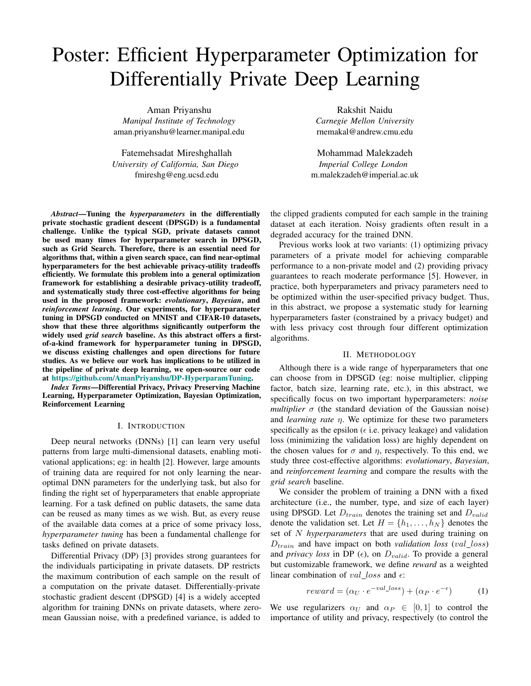# <span id="page-0-8"></span>Poster: Efficient Hyperparameter Optimization for Differentially Private Deep Learning

Aman Priyanshu *Manipal Institute of Technology* aman.priyanshu@learner.manipal.edu

Fatemehsadat Mireshghallah *University of California, San Diego* fmireshg@eng.ucsd.edu

*Abstract*—Tuning the *hyperparameters* in the differentially private stochastic gradient descent (DPSGD) is a fundamental challenge. Unlike the typical SGD, private datasets cannot be used many times for hyperparameter search in DPSGD, such as Grid Search. Therefore, there is an essential need for algorithms that, within a given search space, can find near-optimal hyperparameters for the best achievable privacy-utility tradeoffs efficiently. We formulate this problem into a general optimization framework for establishing a desirable privacy-utility tradeoff, and systematically study three cost-effective algorithms for being used in the proposed framework: *evolutionary*, *Bayesian*, and *reinforcement learning*. Our experiments, for hyperparameter tuning in DPSGD conducted on MNIST and CIFAR-10 datasets, show that these three algorithms significantly outperform the widely used *grid search* baseline. As this abstract offers a firstof-a-kind framework for hyperparameter tuning in DPSGD, we discuss existing challenges and open directions for future studies. As we believe our work has implications to be utilized in the pipeline of private deep learning, we open-source our code at [https://github.com/AmanPriyanshu/DP-HyperparamTuning.](https://github.com/AmanPriyanshu/DP-HyperparamTuning)

*Index Terms*—Differential Privacy, Privacy Preserving Machine Learning, Hyperparameter Optimization, Bayesian Optimization, Reinforcement Learning

## I. INTRODUCTION

Deep neural networks (DNNs) [\[1\]](#page-0-0) can learn very useful patterns from large multi-dimensional datasets, enabling motivational applications; eg: in health [\[2\]](#page-0-1). However, large amounts of training data are required for not only learning the nearoptimal DNN parameters for the underlying task, but also for finding the right set of hyperparameters that enable appropriate learning. For a task defined on public datasets, the same data can be reused as many times as we wish. But, as every reuse of the available data comes at a price of some privacy loss, *hyperparameter tuning* has been a fundamental challenge for tasks defined on private datasets.

Differential Privacy (DP) [\[3\]](#page-0-2) provides strong guarantees for the individuals participating in private datasets. DP restricts the maximum contribution of each sample on the result of a computation on the private dataset. Differentially-private stochastic gradient descent (DPSGD) [\[4\]](#page-0-3) is a widely accepted algorithm for training DNNs on private datasets, where zeromean Gaussian noise, with a predefined variance, is added to

Rakshit Naidu *Carnegie Mellon University* rnemakal@andrew.cmu.edu

Mohammad Malekzadeh *Imperial College London* m.malekzadeh@imperial.ac.uk

the clipped gradients computed for each sample in the training dataset at each iteration. Noisy gradients often result in a degraded accuracy for the trained DNN.

Previous works look at two variants: (1) optimizing privacy parameters of a private model for achieving comparable performance to a non-private model and (2) providing privacy guarantees to reach moderate performance [\[5\]](#page-0-4). However, in practice, both hyperparameters and privacy parameters need to be optimized within the user-specified privacy budget. Thus, in this abstract, we propose a systematic study for learning hyperparameters faster (constrained by a privacy budget) and with less privacy cost through four different optimization algorithms.

### II. METHODOLOGY

<span id="page-0-2"></span><span id="page-0-1"></span><span id="page-0-0"></span>Although there is a wide range of hyperparameters that one can choose from in DPSGD (eg: noise multiplier, clipping factor, batch size, learning rate, etc.), in this abstract, we specifically focus on two important hyperparameters: *noise multiplier*  $\sigma$  (the standard deviation of the Gaussian noise) and *learning rate*  $\eta$ . We optimize for these two parameters specifically as the epsilon ( $\epsilon$  i.e. privacy leakage) and validation loss (minimizing the validation loss) are highly dependent on the chosen values for  $\sigma$  and  $\eta$ , respectively. To this end, we study three cost-effective algorithms: *evolutionary*, *Bayesian*, and *reinforcement learning* and compare the results with the *grid search* baseline.

<span id="page-0-6"></span><span id="page-0-4"></span><span id="page-0-3"></span>We consider the problem of training a DNN with a fixed architecture (i.e., the number, type, and size of each layer) using DPSGD. Let *Dtrain* denotes the training set and *Dvalid* denote the validation set. Let  $H = \{h_1, \ldots, h_N\}$  denotes the set of *N hyperparameters* that are used during training on *Dtrain* and have impact on both *validation loss* (*val loss*) and *privacy loss* in DP  $(\epsilon)$ , on  $D_{valid}$ . To provide a general but customizable framework, we define *reward* as a weighted linear combination of  $val\_loss$  and  $\epsilon$ :

<span id="page-0-9"></span><span id="page-0-5"></span>
$$
reward = (\alpha_U \cdot e^{-val\_loss}) + (\alpha_P \cdot e^{-\epsilon}) \tag{1}
$$

<span id="page-0-7"></span>We use regularizers  $\alpha_U$  and  $\alpha_P \in [0,1]$  to control the importance of utility and privacy, respectively (to control the